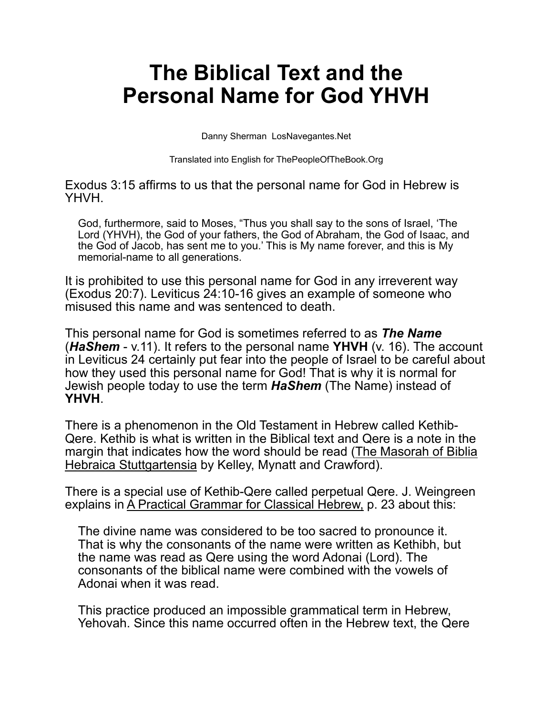## **The Biblical Text and the Personal Name for God YHVH**

Danny Sherman LosNavegantes.Net

Translated into English for ThePeopleOfTheBook.Org

Exodus 3:15 affirms to us that the personal name for God in Hebrew is YHVH.

God, furthermore, said to Moses, "Thus you shall say to the sons of Israel, 'The Lord (YHVH), the God of your fathers, the God of Abraham, the God of Isaac, and the God of Jacob, has sent me to you.' This is My name forever, and this is My memorial-name to all generations.

It is prohibited to use this personal name for God in any irreverent way (Exodus 20:7). Leviticus 24:10-16 gives an example of someone who misused this name and was sentenced to death.

This personal name for God is sometimes referred to as *The Name* (*HaShem* - v.11). It refers to the personal name **YHVH** (v. 16). The account in Leviticus 24 certainly put fear into the people of Israel to be careful about how they used this personal name for God! That is why it is normal for Jewish people today to use the term *HaShem* (The Name) instead of **YHVH**.

There is a phenomenon in the Old Testament in Hebrew called Kethib-Qere. Kethib is what is written in the Biblical text and Qere is a note in the margin that indicates how the word should be read (The Masorah of Biblia Hebraica Stuttgartensia by Kelley, Mynatt and Crawford).

There is a special use of Kethib-Qere called perpetual Qere. J. Weingreen explains in A Practical Grammar for Classical Hebrew, p. 23 about this:

The divine name was considered to be too sacred to pronounce it. That is why the consonants of the name were written as Kethibh, but the name was read as Qere using the word Adonai (Lord). The consonants of the biblical name were combined with the vowels of Adonai when it was read.

This practice produced an impossible grammatical term in Hebrew, Yehovah. Since this name occurred often in the Hebrew text, the Qere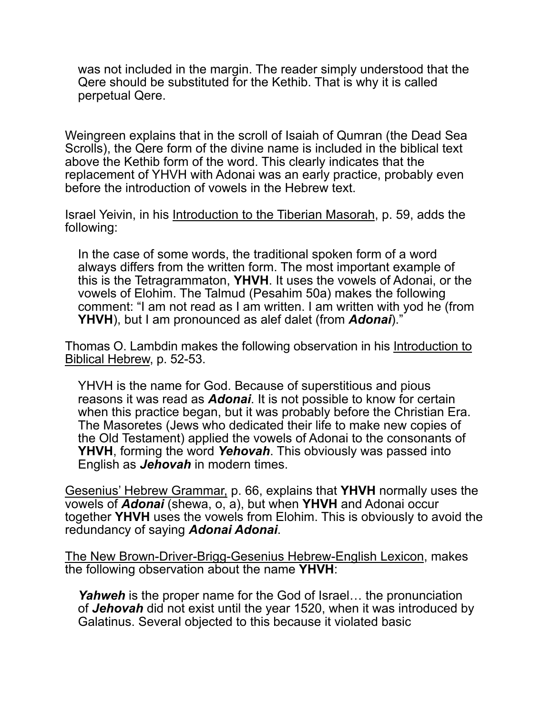was not included in the margin. The reader simply understood that the Qere should be substituted for the Kethib. That is why it is called perpetual Qere.

Weingreen explains that in the scroll of Isaiah of Qumran (the Dead Sea Scrolls), the Qere form of the divine name is included in the biblical text above the Kethib form of the word. This clearly indicates that the replacement of YHVH with Adonai was an early practice, probably even before the introduction of vowels in the Hebrew text.

Israel Yeivin, in his Introduction to the Tiberian Masorah, p. 59, adds the following:

In the case of some words, the traditional spoken form of a word always differs from the written form. The most important example of this is the Tetragrammaton, **YHVH**. It uses the vowels of Adonai, or the vowels of Elohim. The Talmud (Pesahim 50a) makes the following comment: "I am not read as I am written. I am written with yod he (from **YHVH**), but I am pronounced as alef dalet (from *Adonai*)."

Thomas O. Lambdin makes the following observation in his Introduction to Biblical Hebrew, p. 52-53.

YHVH is the name for God. Because of superstitious and pious reasons it was read as *Adonai*. It is not possible to know for certain when this practice began, but it was probably before the Christian Era. The Masoretes (Jews who dedicated their life to make new copies of the Old Testament) applied the vowels of Adonai to the consonants of **YHVH**, forming the word *Yehovah*. This obviously was passed into English as *Jehovah* in modern times.

Gesenius' Hebrew Grammar, p. 66, explains that **YHVH** normally uses the vowels of *Adonai* (shewa, o, a), but when **YHVH** and Adonai occur together **YHVH** uses the vowels from Elohim. This is obviously to avoid the redundancy of saying *Adonai Adonai*.

The New Brown-Driver-Brigg-Gesenius Hebrew-English Lexicon, makes the following observation about the name **YHVH**:

*Yahweh* is the proper name for the God of Israel... the pronunciation of *Jehovah* did not exist until the year 1520, when it was introduced by Galatinus. Several objected to this because it violated basic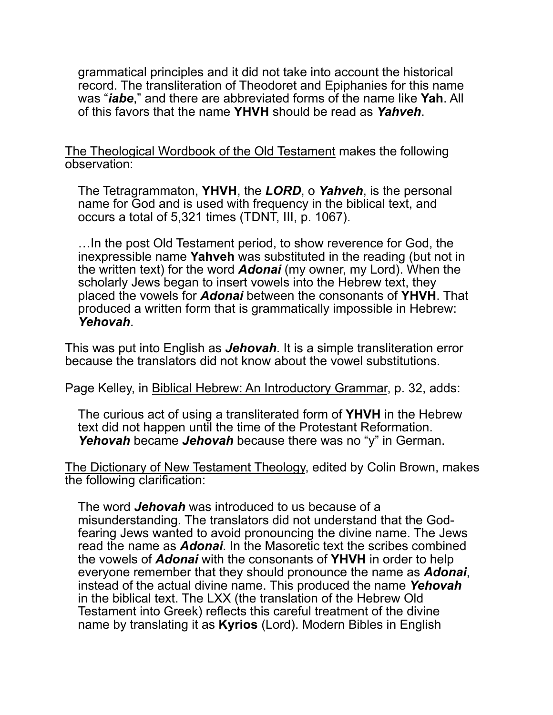grammatical principles and it did not take into account the historical record. The transliteration of Theodoret and Epiphanies for this name was "*iabe*," and there are abbreviated forms of the name like **Yah**. All of this favors that the name **YHVH** should be read as *Yahveh*.

The Theological Wordbook of the Old Testament makes the following observation:

The Tetragrammaton, **YHVH**, the *LORD*, o *Yahveh*, is the personal name for God and is used with frequency in the biblical text, and occurs a total of 5,321 times (TDNT, III, p. 1067).

…In the post Old Testament period, to show reverence for God, the inexpressible name **Yahveh** was substituted in the reading (but not in the written text) for the word *Adonai* (my owner, my Lord). When the scholarly Jews began to insert vowels into the Hebrew text, they placed the vowels for *Adonai* between the consonants of **YHVH**. That produced a written form that is grammatically impossible in Hebrew: *Yehovah*.

This was put into English as *Jehovah*. It is a simple transliteration error because the translators did not know about the vowel substitutions.

Page Kelley, in Biblical Hebrew: An Introductory Grammar, p. 32, adds:

The curious act of using a transliterated form of **YHVH** in the Hebrew text did not happen until the time of the Protestant Reformation. *Yehovah* became *Jehovah* because there was no "y" in German.

The Dictionary of New Testament Theology, edited by Colin Brown, makes the following clarification:

The word *Jehovah* was introduced to us because of a misunderstanding. The translators did not understand that the Godfearing Jews wanted to avoid pronouncing the divine name. The Jews read the name as *Adonai*. In the Masoretic text the scribes combined the vowels of *Adonai* with the consonants of **YHVH** in order to help everyone remember that they should pronounce the name as *Adonai*, instead of the actual divine name. This produced the name *Yehovah* in the biblical text. The LXX (the translation of the Hebrew Old Testament into Greek) reflects this careful treatment of the divine name by translating it as **Kyrios** (Lord). Modern Bibles in English